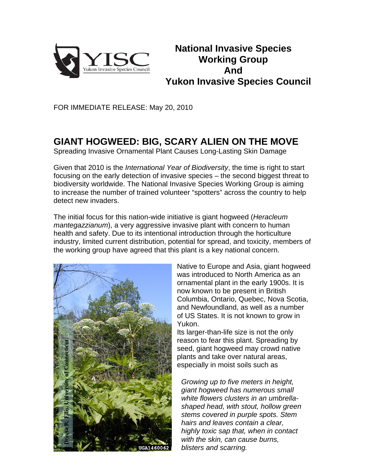

## **National Invasive Species Working Group And Yukon Invasive Species Council**

FOR IMMEDIATE RELEASE: May 20, 2010

## **GIANT HOGWEED: BIG, SCARY ALIEN ON THE MOVE**

Spreading Invasive Ornamental Plant Causes Long-Lasting Skin Damage

Given that 2010 is the *International Year of Biodiversity*, the time is right to start focusing on the early detection of invasive species – the second biggest threat to biodiversity worldwide. The National Invasive Species Working Group is aiming to increase the number of trained volunteer "spotters" across the country to help detect new invaders.

The initial focus for this nation-wide initiative is giant hogweed (*Heracleum mantegazzianum*), a very aggressive invasive plant with concern to human health and safety. Due to its intentional introduction through the horticulture industry, limited current distribution, potential for spread, and toxicity, members of the working group have agreed that this plant is a key national concern.



Native to Europe and Asia, giant hogweed was introduced to North America as an ornamental plant in the early 1900s. It is now known to be present in British Columbia, Ontario, Quebec, Nova Scotia, and Newfoundland, as well as a number of US States. It is not known to grow in Yukon.

Its larger-than-life size is not the only reason to fear this plant. Spreading by seed, giant hogweed may crowd native plants and take over natural areas, especially in moist soils such as

*Growing up to five meters in height, giant hogweed has numerous small white flowers clusters in an umbrellashaped head, with stout, hollow green stems covered in purple spots. Stem hairs and leaves contain a clear, highly toxic sap that, when in contact with the skin, can cause burns, blisters and scarring.*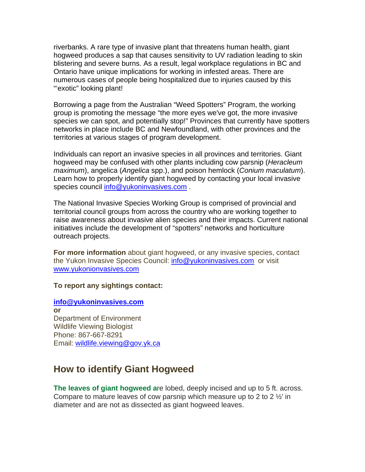riverbanks. A rare type of invasive plant that threatens human health, giant hogweed produces a sap that causes sensitivity to UV radiation leading to skin blistering and severe burns. As a result, legal workplace regulations in BC and Ontario have unique implications for working in infested areas. There are numerous cases of people being hospitalized due to injuries caused by this ""exotic" looking plant!

Borrowing a page from the Australian "Weed Spotters" Program, the working group is promoting the message "the more eyes we've got, the more invasive species we can spot, and potentially stop!" Provinces that currently have spotters networks in place include BC and Newfoundland, with other provinces and the territories at various stages of program development.

Individuals can report an invasive species in all provinces and territories. Giant hogweed may be confused with other plants including cow parsnip (*Heracleum maximum*), angelica (*Angelica* spp.), and poison hemlock (*Conium maculatum*). Learn how to properly identify giant hogweed by contacting your local invasive species council info@yukoninvasives.com.

The National Invasive Species Working Group is comprised of provincial and territorial council groups from across the country who are working together to raise awareness about invasive alien species and their impacts. Current national initiatives include the development of "spotters" networks and horticulture outreach projects.

**For more information** about giant hogweed, or any invasive species, contact the Yukon Invasive Species Council: info@yukoninvasives.com or visit www.yukonionvasives.com

**To report any sightings contact:** 

**info@yukoninvasives.com or**  Department of Environment Wildlife Viewing Biologist Phone: 867-667-8291 Email: wildlife.viewing@gov.yk.ca

## **How to identify Giant Hogweed**

**The leaves of giant hogweed a**re lobed, deeply incised and up to 5 ft. across. Compare to mature leaves of cow parsnip which measure up to 2 to 2  $\frac{1}{2}$  in diameter and are not as dissected as giant hogweed leaves.